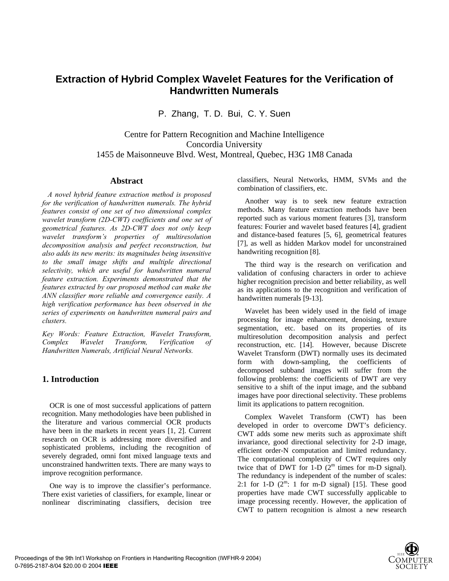# **Extraction of Hybrid Complex Wavelet Features for the Verification of Handwritten Numerals**

P. Zhang, T. D. Bui, C. Y. Suen

Centre for Pattern Recognition and Machine Intelligence Concordia University 1455 de Maisonneuve Blvd. West, Montreal, Quebec, H3G 1M8 Canada

### **Abstract**

 *A novel hybrid feature extraction method is proposed for the verification of handwritten numerals. The hybrid features consist of one set of two dimensional complex wavelet transform (2D-CWT) coefficients and one set of geometrical features. As 2D-CWT does not only keep wavelet transform's properties of multiresolution decomposition analysis and perfect reconstruction, but also adds its new merits: its magnitudes being insensitive to the small image shifts and multiple directional selectivity, which are useful for handwritten numeral feature extraction. Experiments demonstrated that the features extracted by our proposed method can make the ANN classifier more reliable and convergence easily. A high verification performance has been observed in the series of experiments on handwritten numeral pairs and clusters.* 

*Key Words: Feature Extraction, Wavelet Transform, Complex Wavelet Transform, Verification of Handwritten Numerals, Artificial Neural Networks.* 

## **1. Introduction**

 OCR is one of most successful applications of pattern recognition. Many methodologies have been published in the literature and various commercial OCR products have been in the markets in recent years [1, 2]. Current research on OCR is addressing more diversified and sophisticated problems, including the recognition of severely degraded, omni font mixed language texts and unconstrained handwritten texts. There are many ways to improve recognition performance.

 One way is to improve the classifier's performance. There exist varieties of classifiers, for example, linear or nonlinear discriminating classifiers, decision tree classifiers, Neural Networks, HMM, SVMs and the combination of classifiers, etc.

 Another way is to seek new feature extraction methods. Many feature extraction methods have been reported such as various moment features [3], transform features: Fourier and wavelet based features [4], gradient and distance-based features [5, 6], geometrical features [7], as well as hidden Markov model for unconstrained handwriting recognition [8].

 The third way is the research on verification and validation of confusing characters in order to achieve higher recognition precision and better reliability, as well as its applications to the recognition and verification of handwritten numerals [9-13].

 Wavelet has been widely used in the field of image processing for image enhancement, denoising, texture segmentation, etc. based on its properties of its multiresolution decomposition analysis and perfect reconstruction, etc. [14]. However, because Discrete Wavelet Transform (DWT) normally uses its decimated form with down-sampling, the coefficients of decomposed subband images will suffer from the following problems: the coefficients of DWT are very sensitive to a shift of the input image, and the subband images have poor directional selectivity. These problems limit its applications to pattern recognition.

 Complex Wavelet Transform (CWT) has been developed in order to overcome DWT's deficiency. CWT adds some new merits such as approximate shift invariance, good directional selectivity for 2-D image, efficient order-N computation and limited redundancy. The computational complexity of CWT requires only twice that of DWT for 1-D  $(2^m$  times for m-D signal). The redundancy is independent of the number of scales: 2:1 for 1-D  $(2^m: 1$  for m-D signal) [15]. These good properties have made CWT successfully applicable to image processing recently. However, the application of CWT to pattern recognition is almost a new research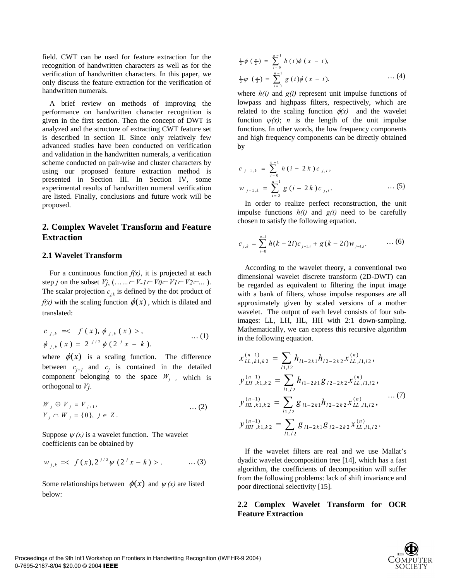field. CWT can be used for feature extraction for the recognition of handwritten characters as well as for the verification of handwritten characters. In this paper, we only discuss the feature extraction for the verification of handwritten numerals.

 A brief review on methods of improving the performance on handwritten character recognition is given in the first section. Then the concept of DWT is analyzed and the structure of extracting CWT feature set is described in section II. Since only relatively few advanced studies have been conducted on verification and validation in the handwritten numerals, a verification scheme conducted on pair-wise and cluster characters by using our proposed feature extraction method is presented in Section III. In Section IV, some experimental results of handwritten numeral verification are listed. Finally, conclusions and future work will be proposed.

# **2. Complex Wavelet Transform and Feature Extraction**

#### **2.1 Wavelet Transform**

For a continuous function  $f(x)$ , it is projected at each step *j* on the subset  $V_j$ , (……  $\subset V_{-1} \subset V_0 \subset V_1 \subset V_2 \subset ...$ ). The scalar projection  $c_{i,k}$  is defined by the dot product of  $f(x)$  with the scaling function  $\phi(x)$ , which is dilated and translated:

$$
c_{j,k} = < f(x), \phi_{j,k}(x) >, \phi_{j,k}(x) = 2^{j/2} \phi(2^{j} x - k).
$$
\n(1)

where  $\phi(x)$  is a scaling function. The difference between  $c_{j+1}$  and  $c_j$  is contained in the detailed component belonging to the space  $W_i$ , which is orthogonal to *Vj*.

$$
W_j \oplus V_j = V_{j+1},
$$
  
\n
$$
V_j \cap W_j = \{0\}, j \in Z.
$$
 ... (2)

Suppose  $\psi(x)$  is a wavelet function. The wavelet coefficients can be obtained by

$$
w_{j,k} = \langle f(x), 2^{j/2} \psi(2^{j} x - k) \rangle \quad \dots (3)
$$

Some relationships between  $\phi(x)$  and  $\psi(x)$  are listed below:

$$
\frac{1}{2}\phi\left(\frac{x}{2}\right) = \sum_{i=0}^{n-1} h(i)\phi(x - i),
$$
  

$$
\frac{1}{2}\psi\left(\frac{x}{2}\right) = \sum_{i=0}^{n-1} g(i)\phi(x - i).
$$
 ... (4)

where  $h(i)$  and  $g(i)$  represent unit impulse functions of lowpass and highpass filters, respectively, which are related to the scaling function  $\phi(x)$  and the wavelet function  $\psi(x)$ ; *n* is the length of the unit impulse functions. In other words, the low frequency components and high frequency components can be directly obtained by

$$
c_{j-1,k} = \sum_{i=0}^{n-1} h(i - 2k) c_{j,i},
$$
  

$$
w_{j-1,k} = \sum_{i=0}^{n-1} g(i - 2k) c_{j,i}.
$$
 ... (5)

 In order to realize perfect reconstruction, the unit impulse functions *h(i)* and *g(i)* need to be carefully chosen to satisfy the following equation.

$$
c_{j,k} = \sum_{i=0}^{n-1} h(k-2i)c_{j-1,i} + g(k-2i)w_{j-1,i}.
$$
 (6)

 According to the wavelet theory, a conventional two dimensional wavelet discrete transform (2D-DWT) can be regarded as equivalent to filtering the input image with a bank of filters, whose impulse responses are all approximately given by scaled versions of a mother wavelet. The output of each level consists of four subimages: LL, LH, HL, HH with 2:1 down-sampling. Mathematically, we can express this recursive algorithm in the following equation.

$$
x_{LL,k1,k2}^{(n-1)} = \sum_{l1,l2} h_{l1-2k1} h_{l2-2k2} x_{LL,l1,l2}^{(n)},
$$
  
\n
$$
y_{LH,k1,k2}^{(n-1)} = \sum_{l1,l2} h_{l1-2k1} g_{l2-2k2} x_{LL,l1,l2}^{(n)},
$$
  
\n
$$
y_{HL,k1,k2}^{(n-1)} = \sum_{l1,l2} g_{l1-2k1} h_{l2-2k2} x_{LL,l1,l2}^{(n)},
$$
  
\n
$$
y_{HH,k1,k2}^{(n-1)} = \sum_{l1,l2} g_{l1-2k1} g_{l2-2k2} x_{LL,l1,l2}^{(n)}.
$$
  
\n(7)

 If the wavelet filters are real and we use Mallat's dyadic wavelet decomposition tree [14], which has a fast algorithm, the coefficients of decomposition will suffer from the following problems: lack of shift invariance and poor directional selectivity [15].

### **2.2 Complex Wavelet Transform for OCR Feature Extraction**

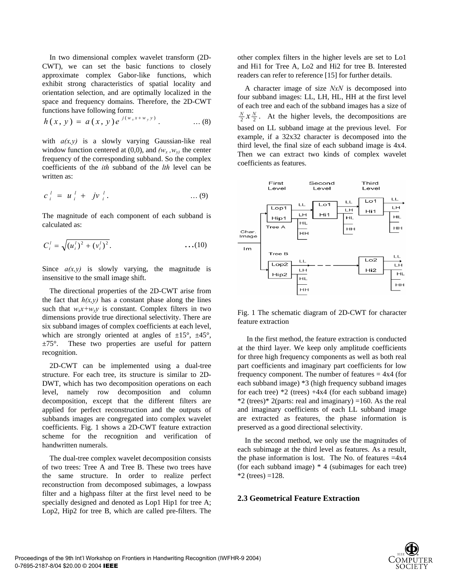In two dimensional complex wavelet transform (2D-CWT), we can set the basic functions to closely approximate complex Gabor-like functions, which exhibit strong characteristics of spatial locality and orientation selection, and are optimally localized in the space and frequency domains. Therefore, the 2D-CWT functions have following form:

$$
h(x, y) = a(x, y)e^{j(w_x x + w_y y)}.
$$
 ... (8)

with  $a(x, y)$  is a slowly varying Gaussian-like real window function centered at  $(0,0)$ , and  $(w_x, w_y)$  the center frequency of the corresponding subband. So the complex coefficients of the *ith* subband of the *lth* level can be written as:

$$
c_i^l = u_i^l + jv_i^l. \qquad \qquad \dots (9)
$$

The magnitude of each component of each subband is calculated as:

.)()( *<sup>l</sup>* <sup>22</sup> *i l i l <sup>i</sup>* += *vuC* …(10)

Since  $a(x, y)$  is slowly varying, the magnitude is insensitive to the small image shift.

 The directional properties of the 2D-CWT arise from the fact that  $h(x, y)$  has a constant phase along the lines such that  $w_x x + w_y y$  is constant. Complex filters in two dimensions provide true directional selectivity. There are six subband images of complex coefficients at each level, which are strongly oriented at angles of  $\pm 15^{\circ}$ ,  $\pm 45^{\circ}$ ,  $\pm 75^\circ$ . These two properties are useful for pattern recognition.

 2D-CWT can be implemented using a dual-tree structure. For each tree, its structure is similar to 2D-DWT, which has two decomposition operations on each level, namely row decomposition and column decomposition, except that the different filters are applied for perfect reconstruction and the outputs of subbands images are congregated into complex wavelet coefficients. Fig. 1 shows a 2D-CWT feature extraction scheme for the recognition and verification of handwritten numerals.

 The dual-tree complex wavelet decomposition consists of two trees: Tree A and Tree B. These two trees have the same structure. In order to realize perfect reconstruction from decomposed subimages, a lowpass filter and a highpass filter at the first level need to be specially designed and denoted as Lop1 Hip1 for tree A; Lop2, Hip2 for tree B, which are called pre-filters. The other complex filters in the higher levels are set to Lo1 and Hi1 for Tree A, Lo2 and Hi2 for tree B. Interested readers can refer to reference [15] for further details.

 A character image of size *NxN* is decomposed into four subband images: LL, LH, HL, HH at the first level of each tree and each of the subband images has a size of  $\frac{N}{2}x\frac{N}{2}$ . At the higher levels, the decompositions are based on LL subband image at the previous level. For example, if a 32x32 character is decomposed into the third level, the final size of each subband image is 4x4. Then we can extract two kinds of complex wavelet coefficients as features.



Fig. 1 The schematic diagram of 2D-CWT for character feature extraction

 In the first method, the feature extraction is conducted at the third layer. We keep only amplitude coefficients for three high frequency components as well as both real part coefficients and imaginary part coefficients for low frequency component. The number of features  $= 4x4$  (for each subband image) \*3 (high frequency subband images for each tree)  $*2$  (trees)  $+4x4$  (for each subband image)  $*2$  (trees) $*2$ (parts: real and imaginary) =160. As the real and imaginary coefficients of each LL subband image are extracted as features, the phase information is preserved as a good directional selectivity.

 In the second method, we only use the magnitudes of each subimage at the third level as features. As a result, the phase information is lost. The No. of features  $=4x4$ (for each subband image) \* 4 (subimages for each tree)  $*2$  (trees) =128.

#### **2.3 Geometrical Feature Extraction**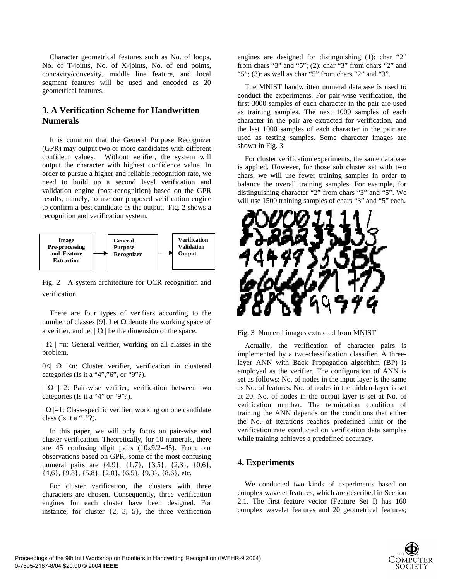Character geometrical features such as No. of loops, No. of T-joints, No. of X-joints, No. of end points, concavity/convexity, middle line feature, and local segment features will be used and encoded as 20 geometrical features.

# **3. A Verification Scheme for Handwritten Numerals**

 It is common that the General Purpose Recognizer (GPR) may output two or more candidates with different confident values. Without verifier, the system will output the character with highest confidence value. In order to pursue a higher and reliable recognition rate, we need to build up a second level verification and validation engine (post-recognition) based on the GPR results, namely, to use our proposed verification engine to confirm a best candidate as the output. Fig. 2 shows a recognition and verification system.



Fig. 2 A system architecture for OCR recognition and verification

 There are four types of verifiers according to the number of classes [9]. Let  $Ω$  denote the working space of a verifier, and let  $|\Omega|$  be the dimension of the space.

 $|\Omega|$  =n: General verifier, working on all classes in the problem.

 $0<|\Omega|<\infty$ : Cluster verifier, verification in clustered categories (Is it a "4","6", or "9"?).

 $|\Omega|$  =2: Pair-wise verifier, verification between two categories (Is it a "4" or "9"?).

 $|\Omega|$  =1: Class-specific verifier, working on one candidate class (Is it a "1"?).

 In this paper, we will only focus on pair-wise and cluster verification. Theoretically, for 10 numerals, there are 45 confusing digit pairs (10x9/2=45). From our observations based on GPR, some of the most confusing numeral pairs are {4,9}, {1,7}, {3,5}, {2,3}, {0,6}, {4,6}, {9,8}, {5,8}, {2,8}, {6,5}, {9,3}, {8,6}, etc.

 For cluster verification, the clusters with three characters are chosen. Consequently, three verification engines for each cluster have been designed. For instance, for cluster  $\{2, 3, 5\}$ , the three verification engines are designed for distinguishing (1): char "2" from chars "3" and "5"; (2): char "3" from chars "2" and "5"; (3): as well as char "5" from chars "2" and "3".

 The MNIST handwritten numeral database is used to conduct the experiments. For pair-wise verification, the first 3000 samples of each character in the pair are used as training samples. The next 1000 samples of each character in the pair are extracted for verification, and the last 1000 samples of each character in the pair are used as testing samples. Some character images are shown in Fig. 3.

 For cluster verification experiments, the same database is applied. However, for those sub cluster set with two chars, we will use fewer training samples in order to balance the overall training samples. For example, for distinguishing character "2" from chars "3" and "5". We will use 1500 training samples of chars "3" and "5" each.



Fig. 3 Numeral images extracted from MNIST

 Actually, the verification of character pairs is implemented by a two-classification classifier. A threelayer ANN with Back Propagation algorithm (BP) is employed as the verifier. The configuration of ANN is set as follows: No. of nodes in the input layer is the same as No. of features. No. of nodes in the hidden-layer is set at 20. No. of nodes in the output layer is set at No. of verification number. The termination condition of training the ANN depends on the conditions that either the No. of iterations reaches predefined limit or the verification rate conducted on verification data samples while training achieves a predefined accuracy.

## **4. Experiments**

 We conducted two kinds of experiments based on complex wavelet features, which are described in Section 2.1. The first feature vector (Feature Set I) has 160 complex wavelet features and 20 geometrical features;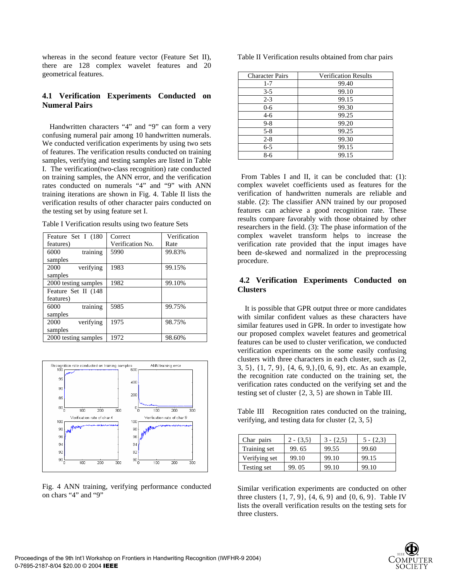whereas in the second feature vector (Feature Set II), there are 128 complex wavelet features and 20 geometrical features.

### **4.1 Verification Experiments Conducted on Numeral Pairs**

 Handwritten characters "4" and "9" can form a very confusing numeral pair among 10 handwritten numerals. We conducted verification experiments by using two sets of features. The verification results conducted on training samples, verifying and testing samples are listed in Table I. The verification(two-class recognition) rate conducted on training samples, the ANN error, and the verification rates conducted on numerals "4" and "9" with ANN training iterations are shown in Fig. 4. Table II lists the verification results of other character pairs conducted on the testing set by using feature set I.

| Table I Verification results using two feature Sets |  |  |  |  |  |  |  |
|-----------------------------------------------------|--|--|--|--|--|--|--|
|-----------------------------------------------------|--|--|--|--|--|--|--|

| Feature Set I (180   | Correct          | Verification |  |
|----------------------|------------------|--------------|--|
| features)            | Verification No. | Rate         |  |
| training<br>6000     | 5990             | 99.83%       |  |
| samples              |                  |              |  |
| verifying<br>2000    | 1983             | 99.15%       |  |
| samples              |                  |              |  |
| 2000 testing samples | 1982             | 99.10%       |  |
| Feature Set II (148  |                  |              |  |
| features)            |                  |              |  |
| training<br>6000     | 5985             | 99.75%       |  |
| samples              |                  |              |  |
| verifying<br>2000    | 1975             | 98.75%       |  |
| samples              |                  |              |  |
| 2000 testing samples | 1972             | 98.60%       |  |



Fig. 4 ANN training, verifying performance conducted on chars "4" and "9"

Table II Verification results obtained from char pairs

| <b>Character Pairs</b> | <b>Verification Results</b> |
|------------------------|-----------------------------|
| $1 - 7$                | 99.40                       |
| $3 - 5$                | 99.10                       |
| $2 - 3$                | 99.15                       |
| $0 - 6$                | 99.30                       |
| 4-6                    | 99.25                       |
| $9 - 8$                | 99.20                       |
| $5 - 8$                | 99.25                       |
| $2 - 8$                | 99.30                       |
| $6 - 5$                | 99.15                       |
| 8-6                    | 99.15                       |

 From Tables I and II, it can be concluded that: (1): complex wavelet coefficients used as features for the verification of handwritten numerals are reliable and stable. (2): The classifier ANN trained by our proposed features can achieve a good recognition rate. These results compare favorably with those obtained by other researchers in the field. (3): The phase information of the complex wavelet transform helps to increase the verification rate provided that the input images have been de-skewed and normalized in the preprocessing procedure.

### **4.2 Verification Experiments Conducted on Clusters**

 It is possible that GPR output three or more candidates with similar confident values as these characters have similar features used in GPR. In order to investigate how our proposed complex wavelet features and geometrical features can be used to cluster verification, we conducted verification experiments on the some easily confusing clusters with three characters in each cluster, such as {2, 3, 5}, {1, 7, 9}, {4, 6, 9,},{0, 6, 9}, etc. As an example, the recognition rate conducted on the training set, the verification rates conducted on the verifying set and the testing set of cluster {2, 3, 5} are shown in Table III.

Table III Recognition rates conducted on the training, verifying, and testing data for cluster {2, 3, 5}

| Char pairs    | $2 - \{3,5\}$ | $3 - \{2, 5\}$ | $5 - \{2,3\}$ |
|---------------|---------------|----------------|---------------|
| Training set  | 99.65         | 99.55          | 99.60         |
| Verifying set | 99.10         | 99.10          | 99.15         |
| Testing set   | 99.05         | 99.10          | 99.10         |

Similar verification experiments are conducted on other three clusters {1, 7, 9}, {4, 6, 9} and {0, 6, 9}. Table IV lists the overall verification results on the testing sets for three clusters.